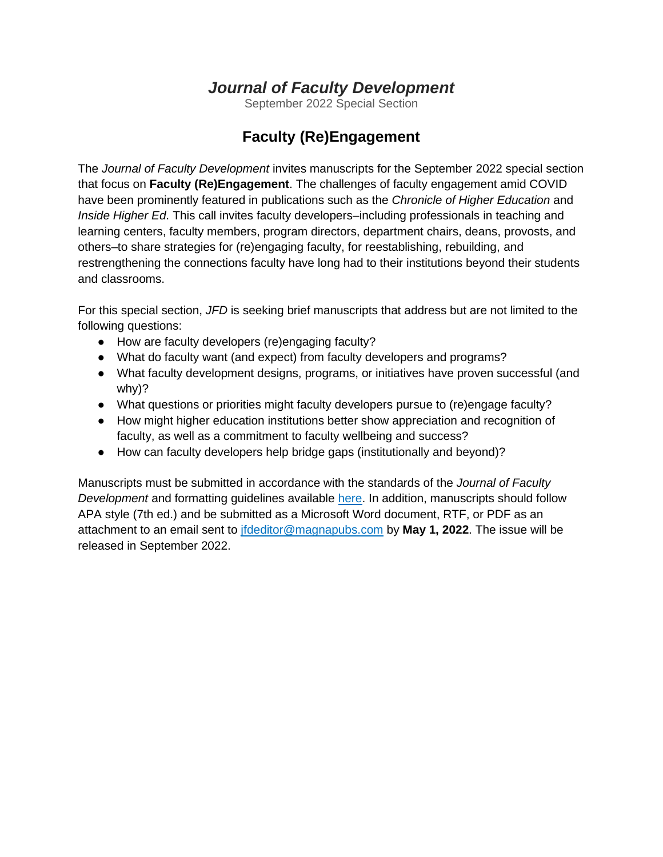## *Journal of Faculty Development*

September 2022 Special Section

## **Faculty (Re)Engagement**

The *Journal of Faculty Development* invites manuscripts for the September 2022 special section that focus on **Faculty (Re)Engagement**. The challenges of faculty engagement amid COVID have been prominently featured in publications such as the *Chronicle of Higher Education* and *Inside Higher Ed*. This call invites faculty developers–including professionals in teaching and learning centers, faculty members, program directors, department chairs, deans, provosts, and others–to share strategies for (re)engaging faculty, for reestablishing, rebuilding, and restrengthening the connections faculty have long had to their institutions beyond their students and classrooms.

For this special section, *JFD* is seeking brief manuscripts that address but are not limited to the following questions:

- How are faculty developers (re)engaging faculty?
- What do faculty want (and expect) from faculty developers and programs?
- What faculty development designs, programs, or initiatives have proven successful (and why)?
- What questions or priorities might faculty developers pursue to (re)engage faculty?
- How might higher education institutions better show appreciation and recognition of faculty, as well as a commitment to faculty wellbeing and success?
- How can faculty developers help bridge gaps (institutionally and beyond)?

Manuscripts must be submitted in accordance with the standards of the *Journal of Faculty Development* and formatting guidelines available [here.](https://www.magnapubs.com/frequently-asked-questions-help/journal-of-faculty-development-submission-guidelines/) In addition, manuscripts should follow APA style (7th ed.) and be submitted as a Microsoft Word document, RTF, or PDF as an attachment to an email sent to [jfdeditor@magnapubs.com](mailto:jfdeditor@magnapubs.com) by **May 1, 2022**. The issue will be released in September 2022.